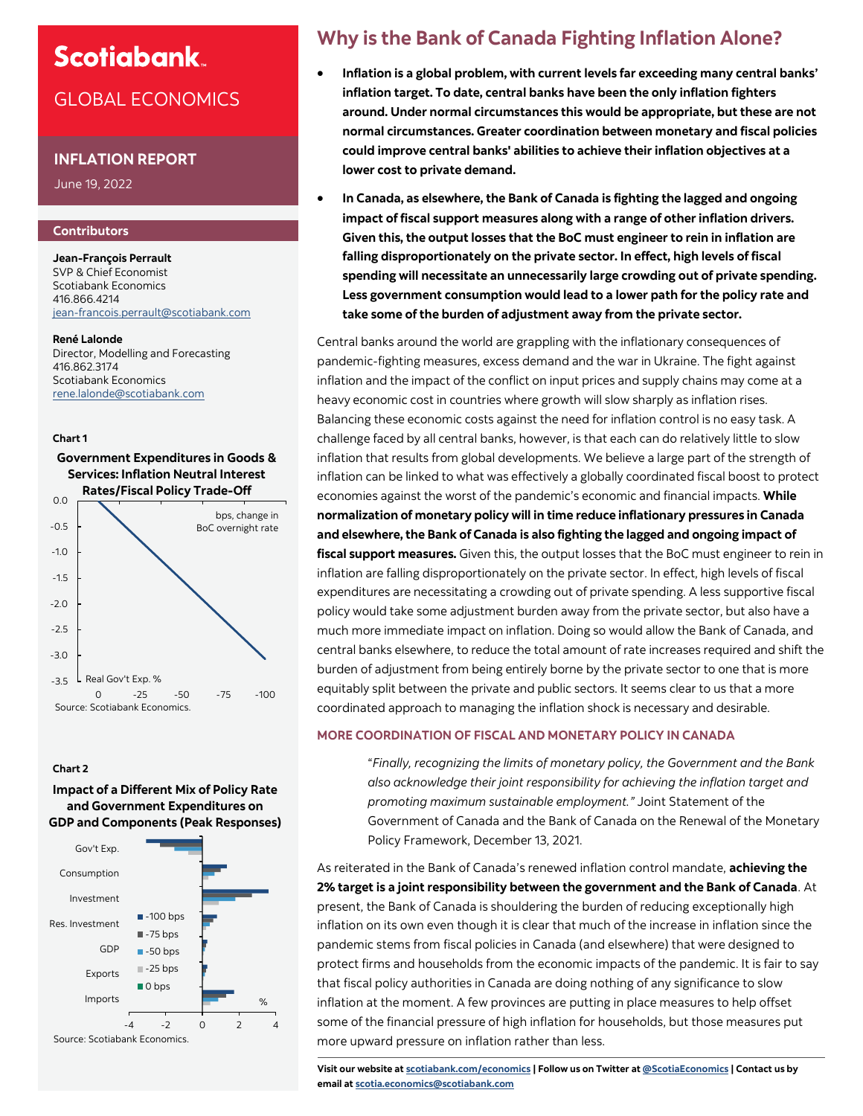# **Scotiabank**

# GLOBAL ECONOMICS

### **INFLATION REPORT**

June 19, 2022

#### **Contributors**

**Jean-François Perrault** SVP & Chief Economist Scotiabank Economics 416.866.4214 jean-[francois.perrault@scotiabank.com](mailto:jean-francois.perrault@scotiabank.com)

#### **René Lalonde**

Director, Modelling and Forecasting 416.862.3174 Scotiabank Economics [rene.lalonde@scotiabank.com](mailto:rene.lalonde@scotiabank.com)

#### **Chart 1**



#### **Chart 2**

**Impact of a Different Mix of Policy Rate and Government Expenditures on GDP and Components (Peak Responses)**



# **Why is the Bank of Canada Fighting Inflation Alone?**

- **Inflation is a global problem, with current levels far exceeding many central banks' inflation target. To date, central banks have been the only inflation fighters around. Under normal circumstances this would be appropriate, but these are not normal circumstances. Greater coordination between monetary and fiscal policies could improve central banks' abilities to achieve their inflation objectives at a lower cost to private demand.**
- **In Canada, as elsewhere, the Bank of Canada is fighting the lagged and ongoing impact of fiscal support measures along with a range of other inflation drivers. Given this, the output losses that the BoC must engineer to rein in inflation are falling disproportionately on the private sector. In effect, high levels of fiscal spending will necessitate an unnecessarily large crowding out of private spending. Less government consumption would lead to a lower path for the policy rate and take some of the burden of adjustment away from the private sector.**

Central banks around the world are grappling with the inflationary consequences of pandemic-fighting measures, excess demand and the war in Ukraine. The fight against inflation and the impact of the conflict on input prices and supply chains may come at a heavy economic cost in countries where growth will slow sharply as inflation rises. Balancing these economic costs against the need for inflation control is no easy task. A challenge faced by all central banks, however, is that each can do relatively little to slow inflation that results from global developments. We believe a large part of the strength of inflation can be linked to what was effectively a globally coordinated fiscal boost to protect economies against the worst of the pandemic's economic and financial impacts. **While normalization of monetary policy will in time reduce inflationary pressures in Canada and elsewhere, the Bank of Canada is also fighting the lagged and ongoing impact of fiscal support measures.** Given this, the output losses that the BoC must engineer to rein in inflation are falling disproportionately on the private sector. In effect, high levels of fiscal expenditures are necessitating a crowding out of private spending. A less supportive fiscal policy would take some adjustment burden away from the private sector, but also have a much more immediate impact on inflation. Doing so would allow the Bank of Canada, and central banks elsewhere, to reduce the total amount of rate increases required and shift the burden of adjustment from being entirely borne by the private sector to one that is more equitably split between the private and public sectors. It seems clear to us that a more coordinated approach to managing the inflation shock is necessary and desirable.

### **MORE COORDINATION OF FISCAL AND MONETARY POLICY IN CANADA**

"*Finally, recognizing the limits of monetary policy, the Government and the Bank also acknowledge their joint responsibility for achieving the inflation target and promoting maximum sustainable employment."* Joint Statement of the Government of Canada and the Bank of Canada on the Renewal of the Monetary Policy Framework, December 13, 2021.

As reiterated in the Bank of Canada's renewed inflation control mandate, **achieving the 2% target is a joint responsibility between the government and the Bank of Canada**. At present, the Bank of Canada is shouldering the burden of reducing exceptionally high inflation on its own even though it is clear that much of the increase in inflation since the pandemic stems from fiscal policies in Canada (and elsewhere) that were designed to protect firms and households from the economic impacts of the pandemic. It is fair to say that fiscal policy authorities in Canada are doing nothing of any significance to slow inflation at the moment. A few provinces are putting in place measures to help offset some of the financial pressure of high inflation for households, but those measures put more upward pressure on inflation rather than less.

**Visit our website at [scotiabank.com/economics](https://www.scotiabank.com/ca/en/about/global-economics/economics-publications.html) | Follow us on Twitter at [@ScotiaEconomics](https://twitter.com/ScotiaEconomics) | Contact us by email at scotia.economics@scotiabank.com**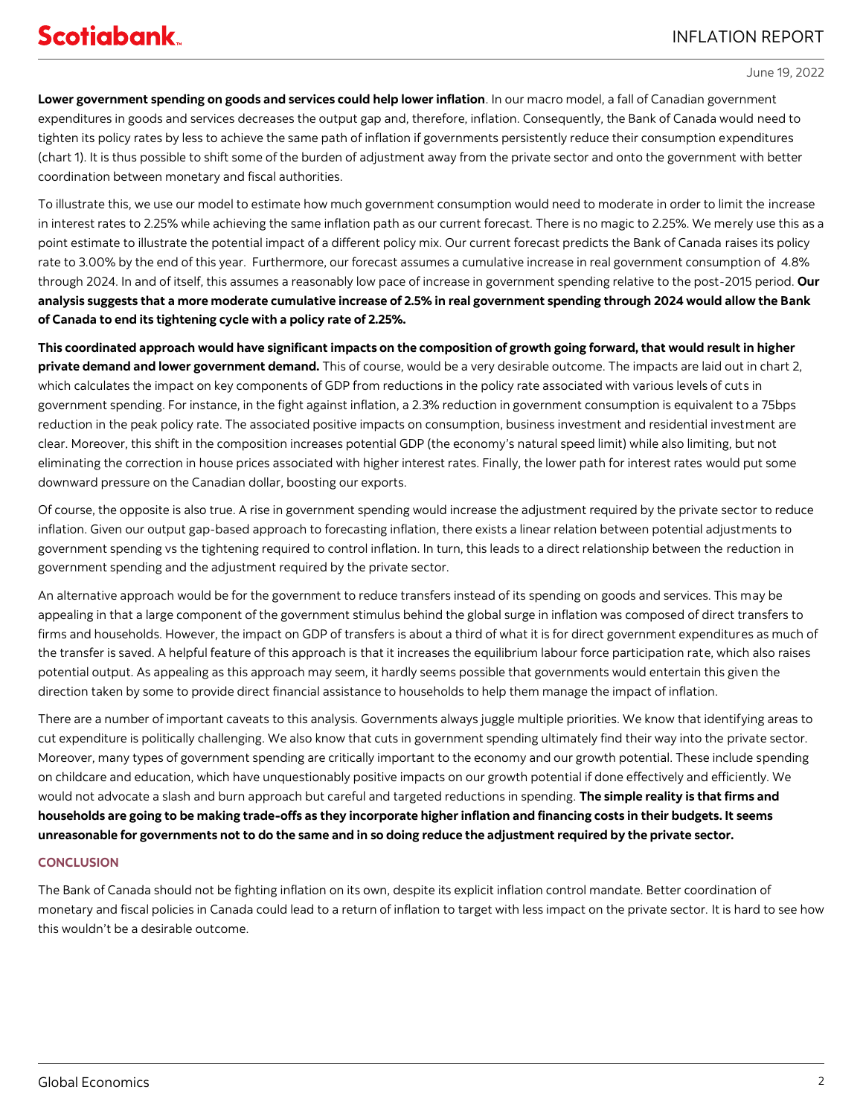June 19, 2022

**Lower government spending on goods and services could help lower inflation**. In our macro model, a fall of Canadian government expenditures in goods and services decreases the output gap and, therefore, inflation. Consequently, the Bank of Canada would need to tighten its policy rates by less to achieve the same path of inflation if governments persistently reduce their consumption expenditures (chart 1). It is thus possible to shift some of the burden of adjustment away from the private sector and onto the government with better coordination between monetary and fiscal authorities.

To illustrate this, we use our model to estimate how much government consumption would need to moderate in order to limit the increase in interest rates to 2.25% while achieving the same inflation path as our current forecast. There is no magic to 2.25%. We merely use this as a point estimate to illustrate the potential impact of a different policy mix. Our current forecast predicts the Bank of Canada raises its policy rate to 3.00% by the end of this year. Furthermore, our forecast assumes a cumulative increase in real government consumption of 4.8% through 2024. In and of itself, this assumes a reasonably low pace of increase in government spending relative to the post-2015 period. **Our analysis suggests that a more moderate cumulative increase of 2.5% in real government spending through 2024 would allow the Bank of Canada to end its tightening cycle with a policy rate of 2.25%.**

**This coordinated approach would have significant impacts on the composition of growth going forward, that would result in higher private demand and lower government demand.** This of course, would be a very desirable outcome. The impacts are laid out in chart 2, which calculates the impact on key components of GDP from reductions in the policy rate associated with various levels of cuts in government spending. For instance, in the fight against inflation, a 2.3% reduction in government consumption is equivalent to a 75bps reduction in the peak policy rate. The associated positive impacts on consumption, business investment and residential investment are clear. Moreover, this shift in the composition increases potential GDP (the economy's natural speed limit) while also limiting, but not eliminating the correction in house prices associated with higher interest rates. Finally, the lower path for interest rates would put some downward pressure on the Canadian dollar, boosting our exports.

Of course, the opposite is also true. A rise in government spending would increase the adjustment required by the private sector to reduce inflation. Given our output gap-based approach to forecasting inflation, there exists a linear relation between potential adjustments to government spending vs the tightening required to control inflation. In turn, this leads to a direct relationship between the reduction in government spending and the adjustment required by the private sector.

An alternative approach would be for the government to reduce transfers instead of its spending on goods and services. This may be appealing in that a large component of the government stimulus behind the global surge in inflation was composed of direct transfers to firms and households. However, the impact on GDP of transfers is about a third of what it is for direct government expenditures as much of the transfer is saved. A helpful feature of this approach is that it increases the equilibrium labour force participation rate, which also raises potential output. As appealing as this approach may seem, it hardly seems possible that governments would entertain this given the direction taken by some to provide direct financial assistance to households to help them manage the impact of inflation.

There are a number of important caveats to this analysis. Governments always juggle multiple priorities. We know that identifying areas to cut expenditure is politically challenging. We also know that cuts in government spending ultimately find their way into the private sector. Moreover, many types of government spending are critically important to the economy and our growth potential. These include spending on childcare and education, which have unquestionably positive impacts on our growth potential if done effectively and efficiently. We would not advocate a slash and burn approach but careful and targeted reductions in spending. **The simple reality is that firms and households are going to be making trade-offs as they incorporate higher inflation and financing costs in their budgets. It seems unreasonable for governments not to do the same and in so doing reduce the adjustment required by the private sector.**

## **CONCLUSION**

The Bank of Canada should not be fighting inflation on its own, despite its explicit inflation control mandate. Better coordination of monetary and fiscal policies in Canada could lead to a return of inflation to target with less impact on the private sector. It is hard to see how this wouldn't be a desirable outcome.